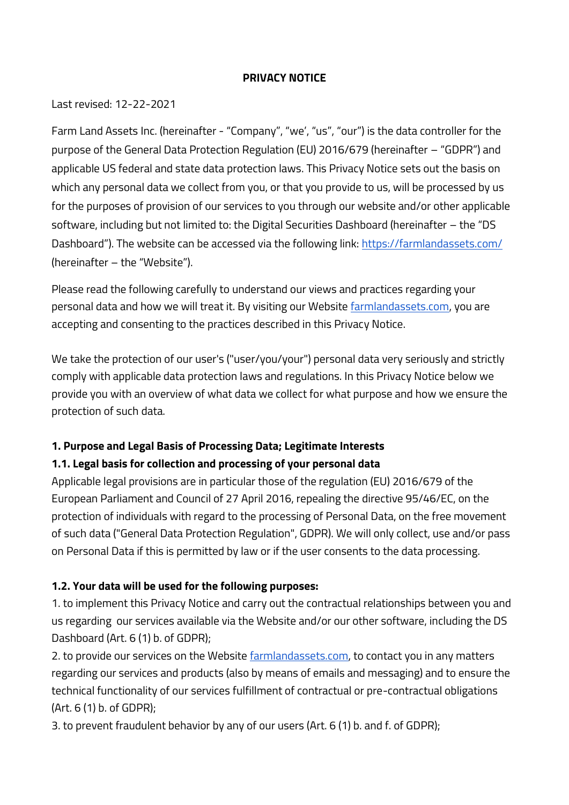#### **PRIVACY NOTICE**

Last revised: 12-22-2021

Farm Land Assets Inc. (hereinafter - "Company", "we', "us", "our") is the data controller for the purpose of the General Data Protection Regulation (EU) 2016/679 (hereinafter – "GDPR") and applicable US federal and state data protection laws. This Privacy Notice sets out the basis on which any personal data we collect from you, or that you provide to us, will be processed by us for the purposes of provision of our services to you through our website and/or other applicable software, including but not limited to: the Digital Securities Dashboard (hereinafter – the "DS Dashboard"). The website can be accessed via the following link: <https://farmlandassets.com/> (hereinafter – the "Website").

Please read the following carefully to understand our views and practices regarding your personal data and how we will treat it. By visiting our Website [farmlandassets.com,](https://farmlandassets.com/) you are accepting and consenting to the practices described in this Privacy Notice.

We take the protection of our user's ("user/you/your") personal data very seriously and strictly comply with applicable data protection laws and regulations. In this Privacy Notice below we provide you with an overview of what data we collect for what purpose and how we ensure the protection of such data.

# **1. Purpose and Legal Basis of Processing Data; Legitimate Interests 1.1. Legal basis for collection and processing of your personal data**

Applicable legal provisions are in particular those of the regulation (EU) 2016/679 of the European Parliament and Council of 27 April 2016, repealing the directive 95/46/EC, on the protection of individuals with regard to the processing of Personal Data, on the free movement of such data ("General Data Protection Regulation", GDPR). We will only collect, use and/or pass on Personal Data if this is permitted by law or if the user consents to the data processing.

# **1.2. Your data will be used for the following purposes:**

1. to implement this Privacy Notice and carry out the contractual relationships between you and us regarding our services available via the Website and/or our other software, including the DS Dashboard (Art. 6 (1) b. of GDPR);

2. to provide our services on the Website [farmlandassets.com,](https://farmlandassets.com/) to contact you in any matters regarding our services and products (also by means of emails and messaging) and to ensure the technical functionality of our services fulfillment of contractual or pre-contractual obligations (Art. 6 (1) b. of GDPR);

3. to prevent fraudulent behavior by any of our users (Art. 6 (1) b. and f. of GDPR);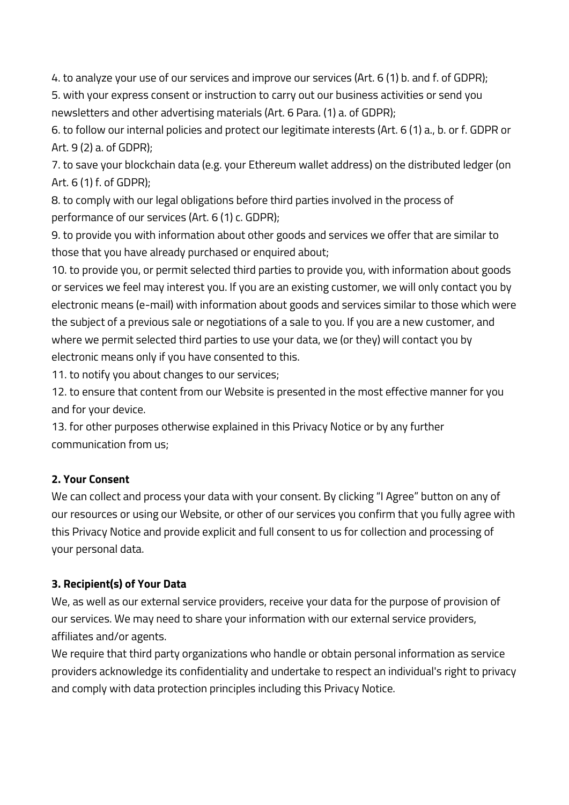4. to analyze your use of our services and improve our services (Art. 6 (1) b. and f. of GDPR);

5. with your express consent or instruction to carry out our business activities or send you newsletters and other advertising materials (Art. 6 Para. (1) a. of GDPR);

6. to follow our internal policies and protect our legitimate interests (Art. 6 (1) a., b. or f. GDPR or Art. 9 (2) a. of GDPR);

7. to save your blockchain data (e.g. your Ethereum wallet address) on the distributed ledger (on Art. 6 (1) f. of GDPR);

8. to comply with our legal obligations before third parties involved in the process of performance of our services (Art. 6 (1) c. GDPR);

9. to provide you with information about other goods and services we offer that are similar to those that you have already purchased or enquired about;

10. to provide you, or permit selected third parties to provide you, with information about goods or services we feel may interest you. If you are an existing customer, we will only contact you by electronic means (e-mail) with information about goods and services similar to those which were the subject of a previous sale or negotiations of a sale to you. If you are a new customer, and where we permit selected third parties to use your data, we (or they) will contact you by electronic means only if you have consented to this.

11. to notify you about changes to our services;

12. to ensure that content from our Website is presented in the most effective manner for you and for your device.

13. for other purposes otherwise explained in this Privacy Notice or by any further communication from us;

# **2. Your Consent**

We can collect and process your data with your consent. By clicking "I Agree" button on any of our resources or using our Website, or other of our services you confirm that you fully agree with this Privacy Notice and provide explicit and full consent to us for collection and processing of your personal data.

# **3. Recipient(s) of Your Data**

We, as well as our external service providers, receive your data for the purpose of provision of our services. We may need to share your information with our external service providers, affiliates and/or agents.

We require that third party organizations who handle or obtain personal information as service providers acknowledge its confidentiality and undertake to respect an individual's right to privacy and comply with data protection principles including this Privacy Notice.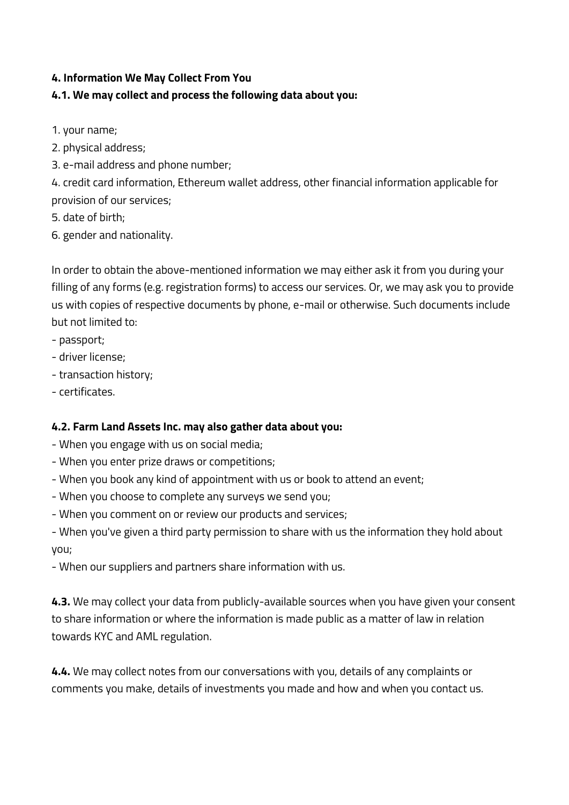### **4. Information We May Collect From You**

# **4.1. We may collect and process the following data about you:**

- 1. your name;
- 2. physical address;
- 3. e-mail address and phone number;

4. credit card information, Ethereum wallet address, other financial information applicable for provision of our services;

- 5. date of birth;
- 6. gender and nationality.

In order to obtain the above-mentioned information we may either ask it from you during your filling of any forms (e.g. registration forms) to access our services. Or, we may ask you to provide us with copies of respective documents by phone, e-mail or otherwise. Such documents include but not limited to:

- passport;
- driver license;
- transaction history;
- certificates.

# **4.2. Farm Land Assets Inc. may also gather data about you:**

- When you engage with us on social media;
- When you enter prize draws or competitions;
- When you book any kind of appointment with us or book to attend an event;
- When you choose to complete any surveys we send you;
- When you comment on or review our products and services;

- When you've given a third party permission to share with us the information they hold about you;

- When our suppliers and partners share information with us.

**4.3.** We may collect your data from publicly-available sources when you have given your consent to share information or where the information is made public as a matter of law in relation towards KYC and AML regulation.

**4.4.** We may collect notes from our conversations with you, details of any complaints or comments you make, details of investments you made and how and when you contact us.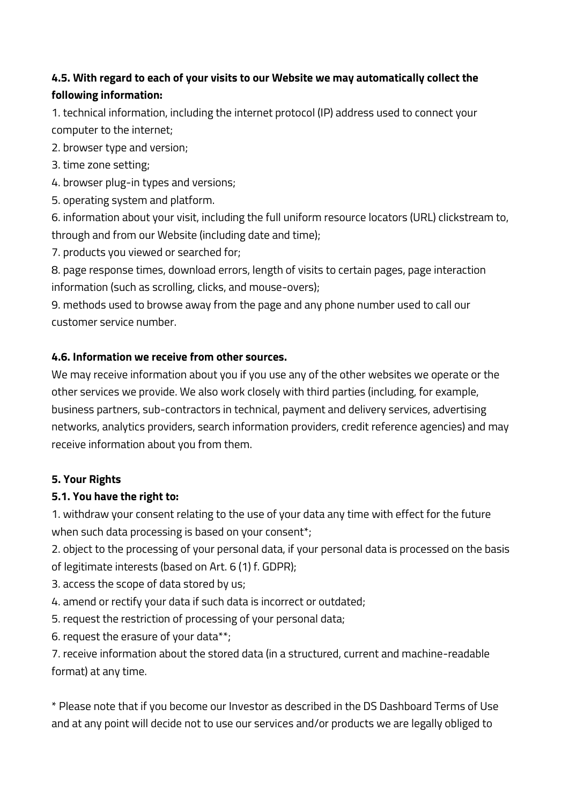# **4.5. With regard to each of your visits to our Website we may automatically collect the following information:**

1. technical information, including the internet protocol (IP) address used to connect your computer to the internet;

2. browser type and version;

3. time zone setting;

- 4. browser plug-in types and versions;
- 5. operating system and platform.

6. information about your visit, including the full uniform resource locators (URL) clickstream to, through and from our Website (including date and time);

7. products you viewed or searched for;

8. page response times, download errors, length of visits to certain pages, page interaction information (such as scrolling, clicks, and mouse-overs);

9. methods used to browse away from the page and any phone number used to call our customer service number.

### **4.6. Information we receive from other sources.**

We may receive information about you if you use any of the other websites we operate or the other services we provide. We also work closely with third parties (including, for example, business partners, sub-contractors in technical, payment and delivery services, advertising networks, analytics providers, search information providers, credit reference agencies) and may receive information about you from them.

# **5. Your Rights**

# **5.1. You have the right to:**

1. withdraw your consent relating to the use of your data any time with effect for the future when such data processing is based on your consent\*;

2. object to the processing of your personal data, if your personal data is processed on the basis of legitimate interests (based on Art. 6 (1) f. GDPR);

- 3. access the scope of data stored by us;
- 4. amend or rectify your data if such data is incorrect or outdated;
- 5. request the restriction of processing of your personal data;
- 6. request the erasure of your data\*\*;

7. receive information about the stored data (in a structured, current and machine-readable format) at any time.

\* Please note that if you become our Investor as described in the DS Dashboard Terms of Use and at any point will decide not to use our services and/or products we are legally obliged to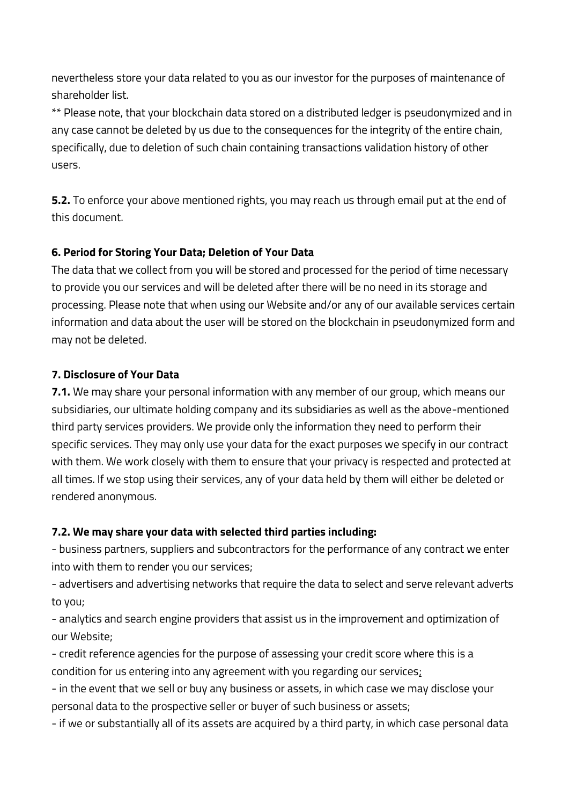nevertheless store your data related to you as our investor for the purposes of maintenance of shareholder list.

\*\* Please note, that your blockchain data stored on a distributed ledger is pseudonymized and in any case cannot be deleted by us due to the consequences for the integrity of the entire chain, specifically, due to deletion of such chain containing transactions validation history of other users.

**5.2.** To enforce your above mentioned rights, you may reach us through email put at the end of this document.

### **6. Period for Storing Your Data; Deletion of Your Data**

The data that we collect from you will be stored and processed for the period of time necessary to provide you our services and will be deleted after there will be no need in its storage and processing. Please note that when using our Website and/or any of our available services certain information and data about the user will be stored on the blockchain in pseudonymized form and may not be deleted.

### **7. Disclosure of Your Data**

**7.1.** We may share your personal information with any member of our group, which means our subsidiaries, our ultimate holding company and its subsidiaries as well as the above-mentioned third party services providers. We provide only the information they need to perform their specific services. They may only use your data for the exact purposes we specify in our contract with them. We work closely with them to ensure that your privacy is respected and protected at all times. If we stop using their services, any of your data held by them will either be deleted or rendered anonymous.

# **7.2. We may share your data with selected third parties including:**

- business partners, suppliers and subcontractors for the performance of any contract we enter into with them to render you our services;

- advertisers and advertising networks that require the data to select and serve relevant adverts to you;

- analytics and search engine providers that assist us in the improvement and optimization of our Website;

- credit reference agencies for the purpose of assessing your credit score where this is a condition for us entering into any agreement with you regarding our services;

- in the event that we sell or buy any business or assets, in which case we may disclose your personal data to the prospective seller or buyer of such business or assets;

- if we or substantially all of its assets are acquired by a third party, in which case personal data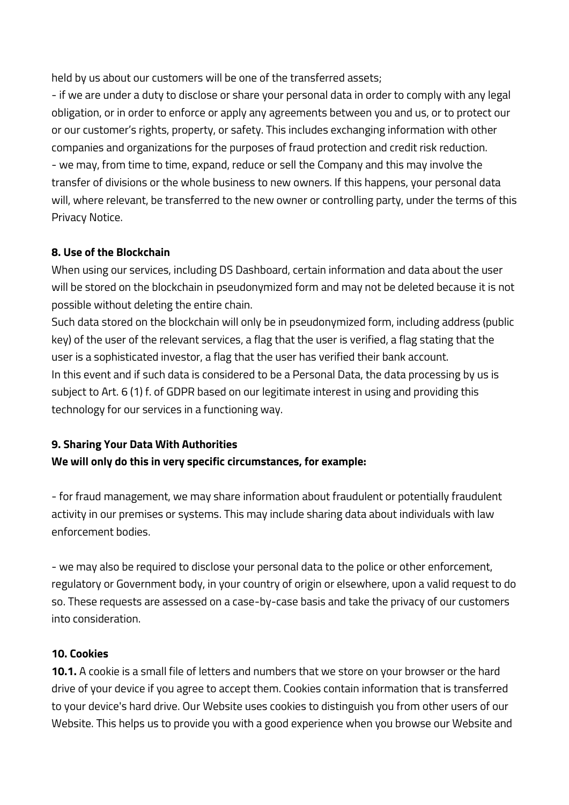held by us about our customers will be one of the transferred assets;

- if we are under a duty to disclose or share your personal data in order to comply with any legal obligation, or in order to enforce or apply any agreements between you and us, or to protect our or our customer's rights, property, or safety. This includes exchanging information with other companies and organizations for the purposes of fraud protection and credit risk reduction. - we may, from time to time, expand, reduce or sell the Company and this may involve the transfer of divisions or the whole business to new owners. If this happens, your personal data will, where relevant, be transferred to the new owner or controlling party, under the terms of this Privacy Notice.

### **8. Use of the Blockchain**

When using our services, including DS Dashboard, certain information and data about the user will be stored on the blockchain in pseudonymized form and may not be deleted because it is not possible without deleting the entire chain.

Such data stored on the blockchain will only be in pseudonymized form, including address (public key) of the user of the relevant services, a flag that the user is verified, a flag stating that the user is a sophisticated investor, a flag that the user has verified their bank account. In this event and if such data is considered to be a Personal Data, the data processing by us is subject to Art. 6 (1) f. of GDPR based on our legitimate interest in using and providing this technology for our services in a functioning way.

# **9. Sharing Your Data With Authorities**

# **We will only do this in very specific circumstances, for example:**

- for fraud management, we may share information about fraudulent or potentially fraudulent activity in our premises or systems. This may include sharing data about individuals with law enforcement bodies.

- we may also be required to disclose your personal data to the police or other enforcement, regulatory or Government body, in your country of origin or elsewhere, upon a valid request to do so. These requests are assessed on a case-by-case basis and take the privacy of our customers into consideration.

# **10. Cookies**

**10.1.** A cookie is a small file of letters and numbers that we store on your browser or the hard drive of your device if you agree to accept them. Cookies contain information that is transferred to your device's hard drive. Our Website uses cookies to distinguish you from other users of our Website. This helps us to provide you with a good experience when you browse our Website and